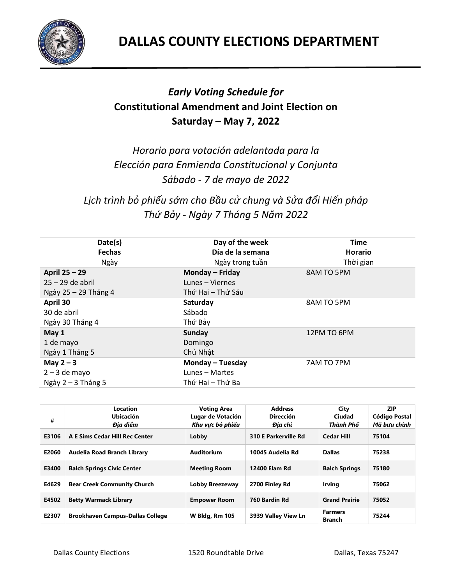

## *Early Voting Schedule for*  **Constitutional Amendment and Joint Election on Saturday – May 7, 2022**

*Horario para votación adelantada para la Elección para Enmienda Constitucional y Conjunta Sábado - 7 de mayo de 2022*

*Lịch trình bỏ phiếu sớm cho Bầu cử chung và Sửa đổi Hiến pháp Thứ Bảy - Ngày 7 Tháng 5 Năm 2022*

| Date(s)              | Day of the week   | <b>Time</b>    |
|----------------------|-------------------|----------------|
| <b>Fechas</b>        | Día de la semana  | <b>Horario</b> |
| Ngày                 | Ngày trong tuần   | Thời gian      |
| April 25 - 29        | Monday - Friday   | 8AM TO 5PM     |
| $25 - 29$ de abril   | Lunes - Viernes   |                |
| Ngày 25 - 29 Tháng 4 | Thứ Hai – Thứ Sáu |                |
| April 30             | Saturday          | 8AM TO 5PM     |
| 30 de abril          | Sábado            |                |
| Ngày 30 Tháng 4      | Thứ Bảy           |                |
| May 1                | <b>Sunday</b>     | 12PM TO 6PM    |
| 1 de mayo            | Domingo           |                |
| Ngày 1 Tháng 5       | Chủ Nhật          |                |
| May $2 - 3$          | Monday - Tuesday  | 7AM TO 7PM     |
| $2 - 3$ de mayo      | Lunes - Martes    |                |
| Ngày $2 - 3$ Tháng 5 | Thứ Hai – Thứ Ba  |                |

| #     | Location<br>Ubicación<br>Đia điểm       | <b>Voting Area</b><br>Lugar de Votación<br>Khu vưc bỏ phiếu | <b>Address</b><br><b>Dirección</b><br>Đia chỉ | City<br>Ciudad<br>Thành Phố     | <b>ZIP</b><br>Código Postal<br>Mã bưu chính |
|-------|-----------------------------------------|-------------------------------------------------------------|-----------------------------------------------|---------------------------------|---------------------------------------------|
| E3106 | A E Sims Cedar Hill Rec Center          | Lobby                                                       | 310 E Parkerville Rd                          | <b>Cedar Hill</b>               | 75104                                       |
| E2060 | Audelia Road Branch Library             | Auditorium                                                  | 10045 Audelia Rd                              | <b>Dallas</b>                   | 75238                                       |
| E3400 | <b>Balch Springs Civic Center</b>       | <b>Meeting Room</b>                                         | 12400 Elam Rd                                 | <b>Balch Springs</b>            | 75180                                       |
| E4629 | <b>Bear Creek Community Church</b>      | Lobby Breezeway                                             | 2700 Finley Rd                                | <b>Irving</b>                   | 75062                                       |
| E4502 | <b>Betty Warmack Library</b>            | <b>Empower Room</b>                                         | 760 Bardin Rd                                 | <b>Grand Prairie</b>            | 75052                                       |
| E2307 | <b>Brookhaven Campus-Dallas College</b> | <b>W Bldg, Rm 105</b>                                       | 3939 Valley View Ln                           | <b>Farmers</b><br><b>Branch</b> | 75244                                       |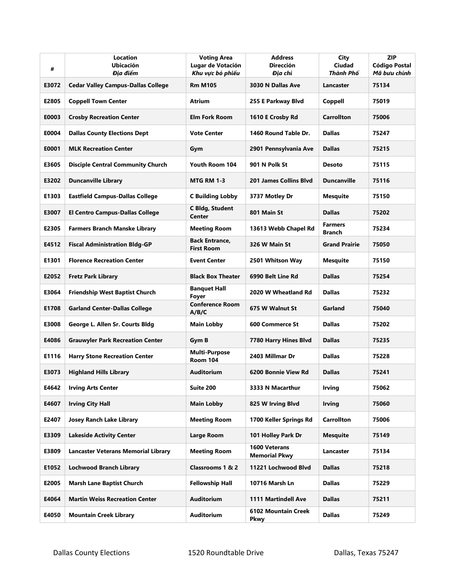| #     | Location<br><b>Ubicación</b><br>Đia điểm   | <b>Voting Area</b><br>Lugar de Votación<br>Khu vực bỏ phiếu | <b>Address</b><br><b>Dirección</b><br>Đia chỉ | City<br>Ciudad<br>Thành Phố     | <b>ZIP</b><br><b>Código Postal</b><br>Mã bưu chính |
|-------|--------------------------------------------|-------------------------------------------------------------|-----------------------------------------------|---------------------------------|----------------------------------------------------|
| E3072 | <b>Cedar Valley Campus-Dallas College</b>  | <b>Rm M105</b>                                              | 3030 N Dallas Ave                             | Lancaster                       | 75134                                              |
| E2805 | <b>Coppell Town Center</b>                 | Atrium                                                      | 255 E Parkway Blvd                            | Coppell                         | 75019                                              |
| E0003 | <b>Crosby Recreation Center</b>            | <b>Elm Fork Room</b>                                        | 1610 E Crosby Rd                              | <b>Carrollton</b>               | 75006                                              |
| E0004 | <b>Dallas County Elections Dept</b>        | <b>Vote Center</b>                                          | 1460 Round Table Dr.                          | <b>Dallas</b>                   | 75247                                              |
| E0001 | <b>MLK Recreation Center</b>               | Gym                                                         | 2901 Pennsylvania Ave                         | <b>Dallas</b>                   | 75215                                              |
| E3605 | <b>Disciple Central Community Church</b>   | Youth Room 104                                              | 901 N Polk St                                 | <b>Desoto</b>                   | 75115                                              |
| E3202 | <b>Duncanville Library</b>                 | <b>MTG RM 1-3</b>                                           | <b>201 James Collins Blyd</b>                 | <b>Duncanville</b>              | 75116                                              |
| E1303 | <b>Eastfield Campus-Dallas College</b>     | <b>C Building Lobby</b>                                     | 3737 Motley Dr                                | <b>Mesquite</b>                 | 75150                                              |
| E3007 | <b>El Centro Campus-Dallas College</b>     | <b>C Bldg, Student</b><br>Center                            | 801 Main St                                   | <b>Dallas</b>                   | 75202                                              |
| E2305 | <b>Farmers Branch Manske Library</b>       | <b>Meeting Room</b>                                         | 13613 Webb Chapel Rd                          | <b>Farmers</b><br><b>Branch</b> | 75234                                              |
| E4512 | <b>Fiscal Administration Bldg-GP</b>       | <b>Back Entrance,</b><br><b>First Room</b>                  | 326 W Main St                                 | <b>Grand Prairie</b>            | 75050                                              |
| E1301 | <b>Florence Recreation Center</b>          | <b>Event Center</b>                                         | 2501 Whitson Way                              | <b>Mesquite</b>                 | 75150                                              |
| E2052 | <b>Fretz Park Library</b>                  | <b>Black Box Theater</b>                                    | 6990 Belt Line Rd                             | <b>Dallas</b>                   | 75254                                              |
| E3064 | <b>Friendship West Baptist Church</b>      | <b>Banquet Hall</b><br><b>Foyer</b>                         | 2020 W Wheatland Rd                           | <b>Dallas</b>                   | 75232                                              |
| E1708 | <b>Garland Center-Dallas College</b>       | <b>Conference Room</b><br>A/B/C                             | 675 W Walnut St                               | Garland                         | 75040                                              |
| E3008 | George L. Allen Sr. Courts Bldg            | <b>Main Lobby</b>                                           | <b>600 Commerce St</b>                        | <b>Dallas</b>                   | 75202                                              |
| E4086 | <b>Grauwyler Park Recreation Center</b>    | Gym B                                                       | 7780 Harry Hines Blvd                         | <b>Dallas</b>                   | 75235                                              |
| E1116 | <b>Harry Stone Recreation Center</b>       | <b>Multi-Purpose</b><br><b>Room 104</b>                     | 2403 Millmar Dr                               | <b>Dallas</b>                   | 75228                                              |
| E3073 | <b>Highland Hills Library</b>              | Auditorium                                                  | 6200 Bonnie View Rd                           | <b>Dallas</b>                   | 75241                                              |
| E4642 | <b>Irving Arts Center</b>                  | Suite 200                                                   | 3333 N Macarthur                              | <b>Irving</b>                   | 75062                                              |
| E4607 | <b>Irving City Hall</b>                    | <b>Main Lobby</b>                                           | 825 W Irving Blvd                             | <b>Irving</b>                   | 75060                                              |
| E2407 | <b>Josey Ranch Lake Library</b>            | <b>Meeting Room</b>                                         | 1700 Keller Springs Rd                        | <b>Carrollton</b>               | 75006                                              |
| E3309 | <b>Lakeside Activity Center</b>            | Large Room                                                  | 101 Holley Park Dr                            | <b>Mesquite</b>                 | 75149                                              |
| E3809 | <b>Lancaster Veterans Memorial Library</b> | <b>Meeting Room</b>                                         | <b>1600 Veterans</b><br><b>Memorial Pkwy</b>  | Lancaster                       | 75134                                              |
| E1052 | <b>Lochwood Branch Library</b>             | Classrooms 1 & 2                                            | 11221 Lochwood Blvd                           | <b>Dallas</b>                   | 75218                                              |
| E2005 | <b>Marsh Lane Baptist Church</b>           | <b>Fellowship Hall</b>                                      | 10716 Marsh Ln                                | <b>Dallas</b>                   | 75229                                              |
| E4064 | <b>Martin Weiss Recreation Center</b>      | <b>Auditorium</b>                                           | 1111 Martindell Ave                           | <b>Dallas</b>                   | 75211                                              |
| E4050 | <b>Mountain Creek Library</b>              | <b>Auditorium</b>                                           | 6102 Mountain Creek<br>Pkwy                   | <b>Dallas</b>                   | 75249                                              |